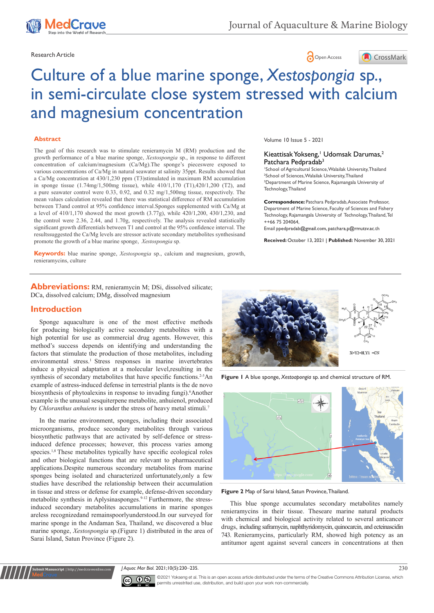





# Culture of a blue marine sponge, *Xestospongia* sp., in semi-circulate close system stressed with calcium and magnesium concentration

## **Abstract**

The goal of this research was to stimulate renieramycin M (RM) production and the growth performance of a blue marine sponge, *Xestospongia* sp., in response to different concentration of calcium/magnesium (Ca/Mg).The sponge's pieceswere exposed to various concentrations of Ca/Mg in natural seawater at salinity 35ppt. Results showed that a Ca/Mg concentration at 430/1,230 ppm (T3)stimulated in maximum RM accumulation in sponge tissue (1.74mg/1,500mg tissue), while 410/1,170 (T1),420/1,200 (T2), and a pure seawater control were 0.33, 0.92, and 0.32 mg/1,500mg tissue, respectively. The mean values calculation revealed that there was statistical difference of RM accumulation between T3and control at 95% confidence interval.Sponges supplemented with Ca/Mg at a level of 410/1,170 showed the most growth (3.77g), while 420/1,200, 430/1,230, and the control were 2.36, 2.44, and 1.70g, respectively. The analysis revealed statistically significant growth differentials between T1 and control at the 95% confidence interval. The resultssuggested the Ca/Mg levels are stressor activate secondary metabolites synthesisand promote the growth of a blue marine sponge, *Xestospongia* sp.

**Keywords:** blue marine sponge, *Xestospongia* sp., calcium and magnesium, growth, renieramycins, culture

Volume 10 Issue 5 - 2021

## Kieattisak Yokseng,<sup>1</sup> Udomsak Darumas,<sup>2</sup> Patchara Pedpradab<sup>3</sup>

 School of Agricultural Science, Walailak University, Thailand School of Sciences, Walailak University, Thailand Department of Marine Science, Rajamangala University of Technology, Thailand

**Correspondence:** Patchara Pedpradab, Associate Professor, Department of Marine Science, Faculty of Sciences and Fishery Technology, Rajamangala University of Technology, Thailand, Tel ++66 75 204064,

Email ppedpradab@gmail.com, patchara.p@rmutsv.ac.th

**Received:** October 13, 2021 | **Published:** November 30, 2021

**Abbreviations:** RM, renieramycin M; DSi, dissolved silicate; DCa, dissolved calcium; DMg, dissolved magnesium

## **Introduction**

Sponge aquaculture is one of the most effective methods for producing biologically active secondary metabolites with a high potential for use as commercial drug agents. However, this method's success depends on identifying and understanding the factors that stimulate the production of those metabolites, including environmental stress.<sup>1</sup> Stress responses in marine invertebrates induce a physical adaptation at a molecular level,resulting in the synthesis of secondary metabolites that have specific functions.<sup>2-5</sup>An example of astress-induced defense in terrestrial plants is the de novo biosynthesis of phytoalexins in response to invading fungi). Another example is the unusual sesquiterpene metabolite, anhuienol, produced by *Chloranthus anhuiens* is under the stress of heavy metal stimuli.7

In the marine environment, sponges, including their associated microorganisms, produce secondary metabolites through various biosynthetic pathways that are activated by self-defence or stressinduced defence processes; however, this process varies among species.1,8 These metabolites typically have specific ecological roles and other biological functions that are relevant to pharmaceutical applications.Despite numerous secondary metabolites from marine sponges being isolated and characterized unfortunately,only a few studies have described the relationship between their accumulation in tissue and stress or defense for example, defense-driven secondary metabolite synthesis in Aplysinasponges.9-12 Furthermore, the stressinduced secondary metabolites accumulations in marine sponges areless recognizedand remainspoorlyunderstood.In our surveyed for marine sponge in the Andaman Sea, Thailand, we discovered a blue marine sponge, *Xestospongia* sp.(Figure 1) distributed in the area of Sarai Island, Satun Province (Figure 2).



**Figure 1** A blue sponge, *Xestoapongia* sp. and chemical structure of RM.



**Figure 2** Map of Sarai Island, Satun Province, Thailand.

This blue sponge accumulates secondary metabolites namely renieramycins in their tissue. Theseare marine natural products with chemical and biological activity related to several anticancer drugs, including saframycin, naphthyridomycin, quinocarcin, and ecteinascidin 743. Renieramycins, particularly RM, showed high potency as an antitumor agent against several cancers in concentrations at then

*J Aquac Mar Biol.* 2021;10(5):230‒235. 230



**Submit Manuscript** | http://medcraveonline.com

©2021 Yokseng et al. This is an open access article distributed under the terms of the Creative Commons Attribution License, which permits unrestrited use, distribution, and build upon your work non-commercially.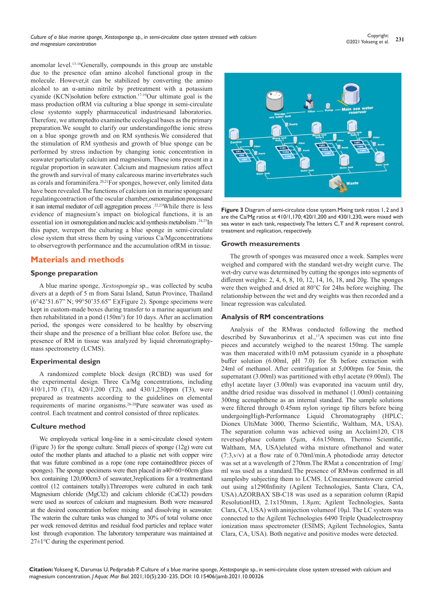anomolar level.13-16Generally, compounds in this group are unstable due to the presence ofan amino alcohol functional group in the molecule. However,it can be stabilized by converting the amino alcohol to an α-amino nitrile by pretreatment with a potassium cyanide (KCN)solution before extraction.17-19Our ultimate goal is the mass production ofRM via culturing a blue sponge in semi-circulate close systemto supply pharmaceutical industriesand laboratories. Therefore, we attemptedto examinethe ecological bases as the primary preparation.We sought to clarify our understandingofthe ionic stress on a blue sponge growth and on RM synthesis.We considered that the stimulation of RM synthesis and growth of blue sponge can be performed by stress induction by changing ionic concentration in seawater particularly calcium and magnesium. These ions present in a regular proportion in seawater. Calcium and magnesium ratios affect the growth and survival of many calcareous marine invertebrates such as corals and foraminifera.20,21For sponges, however, only limited data have been revealed.The functions of calcium ion in marine spongesare regulatingcontraction of the oscular chamber,osmoregulation processand it isan internal mediator of cell aggregation process .22,23While there is less evidence of magnesium's impact on biological functions, it is an essential ion in osmoregulation and nucleic acid synthesis metabolism.<sup>24,25</sup>In this paper, wereport the culturing a blue sponge in semi-circulate close system that stress them by using various Ca/Mgconcentrations to observegrowth performance and the accumulation ofRM in tissue.

# **Materials and methods**

## **Sponge preparation**

A blue marine sponge, *Xestospongia* sp., was collected by scuba divers at a depth of 5 m from Sarai Island, Satun Province, Thailand (6°42'51.67" N; 99°50'35.65" E)(Figure 2). Sponge specimens were kept in custom-made boxes during transfer to a marine aquarium and then rehabilitated in a pond  $(150m<sup>3</sup>)$  for 10 days. After an acclimation period, the sponges were considered to be healthy by observing their shape and the presence of a brilliant blue color. Before use, the presence of RM in tissue was analyzed by liquid chromatographymass spectrometry (LCMS).

## **Experimental design**

A randomized complete block design (RCBD) was used for the experimental design. Three Ca/Mg concentrations, including 410/1,170 (T1), 420/1,200 (T2), and 430/1,230ppm (T3), were prepared as treatments according to the guidelines on elemental requirements of marine organisms.26-28Pure seawater was used as control. Each treatment and control consisted of three replicates.

## **Culture method**

We employeda vertical long-line in a semi-circulate closed system (Figure 3) for the sponge culture. Small pieces of sponge (12g) were cut outof the mother plants and attached to a plastic net with copper wire that was future combined as a rope (one rope containedthree pieces of sponges). The sponge specimens were then placed in  $a40\times60\times60$ cm glass box containing 120,000cm3 of seawater,3replications for a treatmentand control (12 containers totally).Threeropes were cultured in each tank Magnesium chloride (MgCl2) and calcium chloride (CaCl2) powders were used as sources of calcium and magnesium. Both were measured at the desired concentration before mixing and dissolving in seawater. The waterin the culture tanks was changed to 30% of total volume once per week removed detritus and residual food particles and replace water lost through evaporation. The laboratory temperature was maintained at  $27 \pm 1$ °C during the experiment period.



**Figure 3** Diagram of semi-circulate close system.Mixing tank ratios 1, 2 and 3 are the Ca/Mg ratios at 410/1,170; 420/1,200 and 430/1,230, were mixed with sea water in each tank, respectively. The letters C, T and R represent control, treatment and replication, respectively.

#### **Growth measurements**

The growth of sponges was measured once a week. Samples were weighed and compared with the standard wet-dry weight curve. The wet-dry curve was determined by cutting the sponges into segments of different weights: 2, 4, 6, 8, 10, 12, 14, 16, 18, and 20g. The sponges were then weighed and dried at 80°C for 24hs before weighing. The relationship between the wet and dry weights was then recorded and a linear regression was calculated.

## **Analysis of RM concentrations**

Analysis of the RMwas conducted following the method described by Suwanborirux et al.,<sup>17</sup>A specimen was cut into fine pieces and accurately weighed to the nearest 150mg. The sample was then macerated with10 mM potassium cyanide in a phosphate buffer solution (6.00ml, pH 7.0) for 5h before extraction with 24ml of methanol. After centrifugation at 5,000rpm for 5min, the supernatant (3.00ml) was partitioned with ethyl acetate (9.00ml). The ethyl acetate layer (3.00ml) was evaporated ina vacuum until dry, andthe dried residue was dissolved in methanol (1.00ml) containing 300mg acenaphthene as an internal standard. The sample solutions were filtered through 0.45nm nylon syringe tip filters before being undergoingHigh-Performance Liquid Chromatography (HPLC; Dionex UltiMate 3000, Thermo Scientific, Waltham, MA, USA). The separation column was achieved using an Acclaim120, C18 reversed-phase column (5µm, 4.6x150mm, Thermo Scientific, Waltham, MA, USA)eluted witha mixture ofmethanol and water (7:3,v/v) at a flow rate of 0.70ml/min.A photodiode array detector was set at a wavelength of 270nm.The RMat a concentration of 1mg/ ml was used as a standard.The presence of RMwas confirmed in all samplesby subjecting them to LCMS. LCmeasurementswere carried out using a1290Infinity (Agilent Technologies, Santa Clara, CA, USA).AZORBAX SB-C18 was used as a separation column (Rapid ResolutionHD, 2.1x150mm, 1.8µm; Agilent Technologies, Santa Clara, CA, USA) with aninjection volumeof 10µl. The LC system was connected to the Agilent Technologies 6490 Triple Quadelectrospray ionization mass spectrometer (ESIMS; Agilent Technologies, Santa Clara, CA, USA). Both negative and positive modes were detected.

**Citation:** Yokseng K, Darumas U, Pedpradab P. Culture of a blue marine sponge, *Xestospongia* sp., in semi-circulate close system stressed with calcium and magnesium concentration. *J Aquac Mar Biol.* 2021;10(5):230‒235. DOI: [10.15406/jamb.2021.10.00326](https://doi.org/10.15406/jamb.2021.10.00326)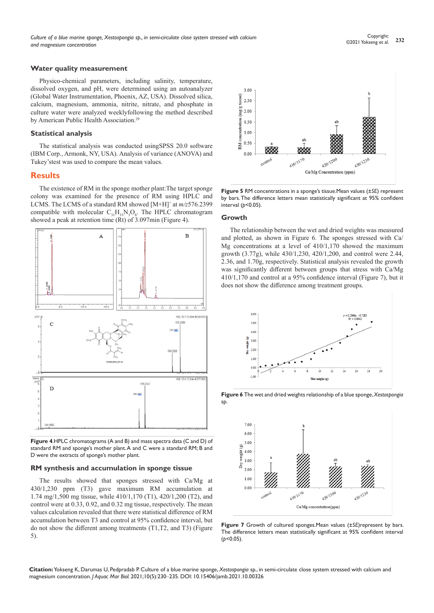## **Water quality measurement**

Physico-chemical parameters, including salinity, temperature, dissolved oxygen, and pH, were determined using an autoanalyzer (Global Water Instrumentation, Phoenix, AZ, USA). Dissolved silica, calcium, magnesium, ammonia, nitrite, nitrate, and phosphate in culture water were analyzed weeklyfollowing the method described by American Public Health Association.<sup>29</sup>

#### **Statistical analysis**

The statistical analysis was conducted usingSPSS 20.0 software (IBM Corp., Armonk, NY, USA). Analysis of variance (ANOVA) and Tukey'stest was used to compare the mean values.

## **Results**

The existence of RM in the sponge mother plant:The target sponge colony was examined for the presence of RM using HPLC and LCMS. The LCMS of a standard RM showed [M+H]+ at *m/z*576.2399 compatible with molecular  $C_{31}H_{33}N_3O_8$ . The HPLC chromatogram showed a peak at retention time (Rt) of 3.097min (Figure 4).



**Figure 4**.HPLC chromatograms (A and B) and mass spectra data (C and D) of standard RM and sponge's mother plant. A and C were a standard RM; B and D were the extracts of sponge's mother plant.

#### **RM synthesis and accumulation in sponge tissue**

The results showed that sponges stressed with Ca/Mg at 430/1,230 ppm (T3) gave maximum RM accumulation at 1.74 mg/1,500 mg tissue, while 410/1,170 (T1), 420/1,200 (T2), and control were at 0.33, 0.92, and 0.32 mg tissue, respectively. The mean values calculation revealed that there were statistical difference of RM accumulation between T3 and control at 95% confidence interval, but do not show the different among treatments (T1,T2, and T3) (Figure 5).



**Figure 5** RM concentrations in a sponge's tissue.Mean values (±*SE*) represent by bars. The difference letters mean statistically significant at 95% confident interval (*p*<0.05).

#### **Growth**

The relationship between the wet and dried weights was measured and plotted, as shown in Figure 6. The sponges stressed with Ca/ Mg concentrations at a level of 410/1,170 showed the maximum growth (3.77g), while 430/1,230, 420/1,200, and control were 2.44, 2.36, and 1.70g, respectively. Statistical analysis revealed the growth was significantly different between groups that stress with Ca/Mg 410/1,170 and control at a 95% confidence interval (Figure 7), but it does not show the difference among treatment groups.





**Figure 6** The wet and dried weights relationship of a blue sponge, *Xestospongia*  sp.

**Figure 7** Growth of cultured sponges.Mean values (±*SE*)represent by bars. The difference letters mean statistically significant at 95% confident interval (*p*<0.05).

**Citation:** Yokseng K, Darumas U, Pedpradab P. Culture of a blue marine sponge, *Xestospongia* sp., in semi-circulate close system stressed with calcium and magnesium concentration. *J Aquac Mar Biol.* 2021;10(5):230‒235. DOI: [10.15406/jamb.2021.10.00326](https://doi.org/10.15406/jamb.2021.10.00326)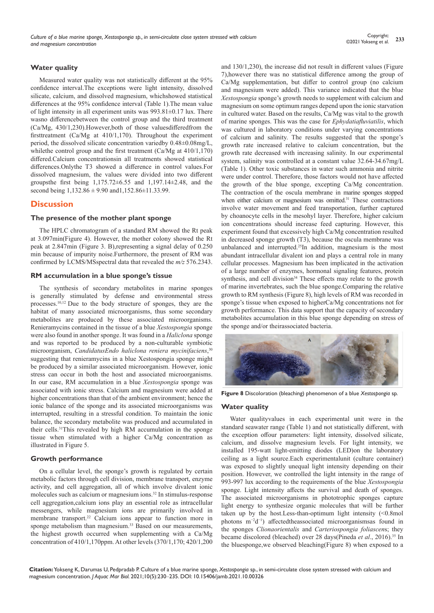## **Water quality**

Measured water quality was not statistically different at the 95% confidence interval.The exceptions were light intensity, dissolved silicate, calcium, and dissolved magnesium, whichshowed statistical differences at the 95% confidence interval (Table 1).The mean value of light intensity in all experiment units was 993.81±0.17 lux. There wasno differencebetween the control group and the third treatment (Ca/Mg, 430/1,230).However,both of those valuesdifferedfrom the firsttreatment (Ca/Mg at 410/1,170). Throughout the experiment period, the dissolved silicate concentration variedby 0.48±0.08mg/L, whilethe control group and the first treatment (Ca/Mg at 410/1,170) differed.Calcium concentrationsin all treatments showed statistical differences.Onlythe T3 showed a difference in control values.For dissolved magnesium, the values were divided into two different groups the first being  $1,175.72 \pm 6.55$  and  $1,197.14 \pm 2.48$ , and the second being 1,132.86 ± 9.90 and1,152.86±11.33.99.

## **Discussion**

## **The presence of the mother plant sponge**

The HPLC chromatogram of a standard RM showed the Rt peak at 3.097min(Figure 4). However, the mother colony showed the Rt peak at 2.847min (Figure 3. B),representing a signal delay of 0.250 min because of impurity noise.Furthermore, the present of RM was confirmed by LCMS/MSspectral data that revealed the *m/z* 576.2343.

## **RM accumulation in a blue sponge's tissue**

The synthesis of secondary metabolites in marine sponges is generally stimulated by defense and environmental stress processes.10,12 Due to the body structure of sponges, they are the habitat of many associated microorganisms, thus some secondary metabolites are produced by these associated microorganisms. Renieramycins contained in the tissue of a blue *Xestospongia* sponge were also found in another sponge. It was found in a *Haliclona* sponge and was reported to be produced by a non-culturable symbiotic microorganism, *CandidatusEndo haliclona reniera mycinifaciens*, 30 suggesting that renieramycins in a blue Xestospongia sponge might be produced by a similar associated microorganism. However, ionic stress can occur in both the host and associated microorganisms. In our case, RM accumulation in a blue *Xestospongia* sponge was associated with ionic stress. Calcium and magnesium were added at higher concentrations than that of the ambient environment; hence the ionic balance of the sponge and its associated microorganisms was interrupted, resulting in a stressful condition. To maintain the ionic balance, the secondary metabolite was produced and accumulated in their cells.31This revealed by high RM accumulation in the sponge tissue when stimulated with a higher Ca/Mg concentration as illustrated in Figure 5.

## **Growth performance**

On a cellular level, the sponge's growth is regulated by certain metabolic factors through cell division, membrane transport, enzyme activity, and cell aggregation, all of which involve divalent ionic molecules such as calcium or magnesium ions.<sup>32</sup> In stimulus-response cell aggregation,calcium ions play an essential role as intracellular messengers, while magnesium ions are primarily involved in membrane transport.22 Calcium ions appear to function more in sponge metabolism than magnesium.<sup>33</sup> Based on our measurements, the highest growth occurred when supplementing with a Ca/Mg concentration of 410/1,170ppm. At other levels (370/1,170; 420/1,200 and 130/1,230), the increase did not result in different values (Figure 7),however there was no statistical difference among the group of Ca/Mg supplementation, but differ to control group (no calcium and magnesium were added). This variance indicated that the blue *Xestospongia* sponge's growth needs to supplement with calcium and magnesium on some optimum ranges depend upon the ionic starvation in cultured water. Based on the results, Ca/Mg was vital to the growth of marine sponges. This was the case for *Ephydatiafluviatilis*, which was cultured in laboratory conditions under varying concentrations of calcium and salinity. The results suggested that the sponge's growth rate increased relative to calcium concentration, but the growth rate decreased with increasing salinity. In our experimental system, salinity was controlled at a constant value 32.64-34.67mg/L (Table 1). Other toxic substances in water such ammonia and nitrite were under control. Therefore, those factors would not have affected the growth of the blue sponge, excepting Ca/Mg concentration. The contraction of the oscula membrane in marine sponges stopped when either calcium or magnesium was omitted.<sup>31</sup> These contractions involve water movement and feed transportation, further captured by choanocyte cells in the mesohyl layer. Therefore, higher calcium ion concentrations should increase feed capturing. However, this experiment found that excessively high Ca/Mg concentration resulted in decreased sponge growth (T3), because the oscula membrane was unbalanced and interrupted.<sup>25</sup>In addition, magnesium is the most abundant intracellular divalent ion and plays a central role in many cellular processes. Magnesium has been implicated in the activation of a large number of enzymes, hormonal signaling features, protein synthesis, and cell division<sup>34</sup> These effects may relate to the growth of marine invertebrates, such the blue sponge.Comparing the relative growth to RM synthesis (Figure 8), high levels of RM was recorded in sponge's tissue when exposed to higherCa/Mg concentrations not for growth performance. This data support that the capacity of secondary metabolites accumulation in this blue sponge depending on stress of the sponge and/or theirassociated bacteria.



**Figure 8** Discoloration (bleaching) phenomenon of a blue *Xestospongia* sp.

## **Water quality**

Water qualityvalues in each experimental unit were in the standard seawater range (Table 1) and not statistically different, with the exception offour parameters: light intensity, dissolved silicate, calcium, and dissolve magnesium levels. For light intensity, we installed 195-watt light-emitting diodes (LED)on the laboratory ceiling as a light source.Each experimentalunit (culture container) was exposed to slightly unequal light intensity depending on their position. However, we controlled the light intensity in the range of 993-997 lux according to the requirements of the blue *Xestospongia*  sponge. Light intensity affects the survival and death of sponges. The associated microorganisms in phototrophic sponges capture light energy to synthesize organic molecules that will be further taken up by the host.Less-than-optimum light intensity (<0.8mol photons m−2d−1) affectedtheassociated microorganismsas found in the sponges *Clionaorientalis* and *Carteriospongia foliascen*s; they became discolored (bleached) over 28 days(Pineda *et al*., 2016).35 In the bluesponge,we observed bleaching(Figure 8) when exposed to a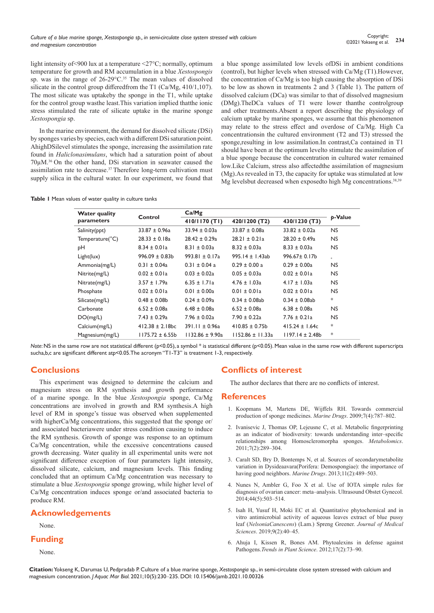light intensity of<900 lux at a temperature <27°C; normally, optimum temperature for growth and RM accumulation in a blue *Xestospongis* sp. was in the range of 26-29 °C.<sup>35</sup> The mean values of dissolved silicate in the control group differedfrom the T1 (Ca/Mg, 410/1,107). The most silicate was uptakeby the sponge in the T1, while uptake for the control group wasthe least.This variation implied thatthe ionic stress stimulated the rate of silicate uptake in the marine sponge *Xestospongia* sp.

In the marine environment, the demand for dissolved silicate (DSi) by sponges varies by species, each with a different DSi saturation point. AhighDSilevel stimulates the sponge, increasing the assimilation rate found in *Haliclonasimulans*, which had a saturation point of about 70µM.36 On the other hand, DSi starvation in seawater caused the assimilation rate to decrease.<sup>37</sup> Therefore long-term cultivation must supply silica in the cultural water. In our experiment, we found that a blue sponge assimilated low levels ofDSi in ambient conditions (control), but higher levels when stressed with Ca/Mg (T1).However, the concentration of Ca/Mg is too high causing the absorption of DSi to be low as shown in treatments 2 and 3 (Table 1). The pattern of dissolved calcium (DCa) was similar to that of dissolved magnesium (DMg).TheDCa values of T1 were lower thanthe controlgroup and other treatments.Absent a report describing the physiology of calcium uptake by marine sponges, we assume that this phenomenon may relate to the stress effect and overdose of Ca/Mg. High Ca concentrationsin the cultured environment (T2 and T3) stressed the sponge,resulting in low assimilation.In contrast,Ca contained in T1 should have been at the optimum levelto stimulate the assimilation of a blue sponge because the concentration in cultured water remained low.Like Calcium, stress also affectedthe assimilation of magnesium (Mg).As revealed in T3, the capacity for uptake was stimulated at low Mg levelsbut decreased when exposedto high Mg concentrations.38,39

|  |  |  |  |  |  |  |  | Table I Mean values of water quality in culture tanks |  |
|--|--|--|--|--|--|--|--|-------------------------------------------------------|--|
|--|--|--|--|--|--|--|--|-------------------------------------------------------|--|

|                      |                      |                     | <b>b-Value</b>       |                     |           |  |
|----------------------|----------------------|---------------------|----------------------|---------------------|-----------|--|
| <b>Water quality</b> | Control              | Ca/Mg               |                      |                     |           |  |
| parameters           |                      | 410/1170 (T1)       | 420/1200 (T2)        | 430/1230 (T3)       |           |  |
| Salinity(ppt)        | $33.87 \pm 0.96a$    | $33.94 \pm 0.03a$   | $33.87 \pm 0.08a$    | $33.82 \pm 0.02a$   | <b>NS</b> |  |
| Temperature(°C)      | $28.33 \pm 0.18a$    | $28.42 \pm 0.29a$   | $28.21 \pm 0.21a$    | $28.20 \pm 0.49a$   | <b>NS</b> |  |
| pН                   | $8.34 \pm 0.01a$     | $8.31 \pm 0.03a$    | $8.32 \pm 0.03a$     | $8.33 \pm 0.03a$    | NS.       |  |
| Light(lux)           | $996.09 \pm 0.83$ b  | $993.81 \pm 0.17a$  | $995.14 \pm 1.43ab$  | $996.67 \pm 0.17$ b | $\ast$    |  |
| Ammonia(mg/L)        | $0.31 \pm 0.04a$     | $0.31 \pm 0.04$ a   | $0.29 \pm 0.00$ a    | $0.29 \pm 0.00a$    | NS.       |  |
| Nitrite(mg/L)        | $0.02 \pm 0.01a$     | $0.03 \pm 0.02a$    | $0.05 \pm 0.03a$     | $0.02 \pm 0.01a$    | NS.       |  |
| Nitrate(mg/L)        | $3.57 \pm 1.79a$     | $6.35 \pm 1.71a$    | $4.76 \pm 1.03a$     | $4.17 \pm 1.03a$    | NS.       |  |
| Phosphate            | $0.02 \pm 0.01a$     | $0.01 \pm 0.00a$    | $0.01 \pm 0.01a$     | $0.02 \pm 0.01a$    | <b>NS</b> |  |
| Silicate(mg/L)       | $0.48 \pm 0.08$      | $0.24 \pm 0.09a$    | $0.34 \pm 0.08$ ab   | $0.34 \pm 0.08$ ab  | $\ast$    |  |
| Carbonate            | $6.52 \pm 0.08a$     | $6.48 \pm 0.08$ a   | $6.52 \pm 0.08a$     | $6.38 \pm 0.08$ a   | NS.       |  |
| DO(mg/L)             | $7.43 \pm 0.29a$     | $7.96 \pm 0.02a$    | $7.90 \pm 0.22a$     | $7.76 \pm 0.21a$    | <b>NS</b> |  |
| Calcium(mg/L)        | $412.38 \pm 2.18$ bc | $391.11 \pm 0.96a$  | $410.85 \pm 0.75$ b  | $415.24 \pm 1.64c$  | $\ast$    |  |
| Magnesium(mg/L)      | $1175.72 \pm 6.55b$  | $1132.86 \pm 9.90a$ | $1152.86 \pm 11.33a$ | $1197.14 \pm 2.48b$ | $\ast$    |  |

*Note*: NS in the same row are not statistical different (p<0.05), a symbol \* is statistical different (p<0.05). Mean value in the same row with different superscripts sucha,b,c are significant different atp<0.05.The acronym "T1-T3" is treatment 1-3, respectively.

# **Conclusions**

This experiment was designed to determine the calcium and magnesium stress on RM synthesis and growth performance of a marine sponge. In the blue *Xestospongia* sponge, Ca/Mg concentrations are involved in growth and RM synthesis.A high level of RM in sponge's tissue was observed when supplemented with higherCa/Mg concentrations, this suggested that the sponge or/ and associated bacteriawere under stress condition causing to induce the RM synthesis. Growth of sponge was response to an optimum Ca/Mg concentration, while the excessive concentrations caused growth decreasing. Water quality in all experimental units were not significant difference exception of four parameters light intensity, dissolved silicate, calcium, and magnesium levels. This finding concluded that an optimum Ca/Mg concentration was necessary to stimulate a blue *Xestospongia* sponge growing, while higher level of Ca/Mg concentration induces sponge or/and associated bacteria to produce RM.

# **Acknowledgements**

#### None.

## **Funding**

None.

# **Conflicts of interest**

The author declares that there are no conflicts of interest.

## **References**

- 1. [Koopmans M, Martens DE, Wijffels RH. Towards commercial](https://pubmed.ncbi.nlm.nih.gov/20098610/)  [production of sponge medicines.](https://pubmed.ncbi.nlm.nih.gov/20098610/) *Marine Drugs*. 2009;7(4):787–802.
- 2. [Ivanisevic J, Thomas OP, Lejeusne C, et al. Metabolic fingerprinting](https://hal.archives-ouvertes.fr/hal-01801749)  [as an indicator of biodiversity: towards understanding inter–specific](https://hal.archives-ouvertes.fr/hal-01801749)  [relationships among Homoscleromorpha sponges.](https://hal.archives-ouvertes.fr/hal-01801749) *Metabolomics*. [2011;7\(2\):289–304.](https://hal.archives-ouvertes.fr/hal-01801749)
- 3. [Caralt SD, Bry D, Bontemps N, et al. Sources of secondarymetabolite](https://pubmed.ncbi.nlm.nih.gov/23429282/)  [variation in Dysideaavara\(Porifera: Demospongiae\): the importance of](https://pubmed.ncbi.nlm.nih.gov/23429282/)  [having good neighbors.](https://pubmed.ncbi.nlm.nih.gov/23429282/) *Marine Drugs*. 2013;11(2):489–503.
- 4. [Nunes N, Ambler G, Foo X et al. Use of IOTA simple rules for](https://pubmed.ncbi.nlm.nih.gov/24920435/)  [diagnosis of ovarian cancer: meta–analysis. Ultrasound Obstet Gynecol.](https://pubmed.ncbi.nlm.nih.gov/24920435/)  [2014;44\(5\):503–514.](https://pubmed.ncbi.nlm.nih.gov/24920435/)
- 5. [Isah H, Yusuf H, Moki EC et al. Quantitative phytochemical and in](https://gjournals.org/GJMS/Publication/2019/July/HTML/110619199%20Isah%20et%20al.htm)  [vitro antimicrobial activity of aqueous leaves extract of blue pussy](https://gjournals.org/GJMS/Publication/2019/July/HTML/110619199%20Isah%20et%20al.htm)  leaf (*NelsoniaCanescens*[\) \(Lam.\) Spreng Greener.](https://gjournals.org/GJMS/Publication/2019/July/HTML/110619199%20Isah%20et%20al.htm) *Journal of Medical Sciences*[. 2019;9\(2\):40–45.](https://gjournals.org/GJMS/Publication/2019/July/HTML/110619199%20Isah%20et%20al.htm)
- 6. Ahuja I, Kissen R, Bones AM. Phytoalexins in defense against Pathogens.*Trends in Plant Science*. 2012;17(2):73–90.

**Citation:** Yokseng K, Darumas U, Pedpradab P. Culture of a blue marine sponge, *Xestospongia* sp., in semi-circulate close system stressed with calcium and magnesium concentration. *J Aquac Mar Biol.* 2021;10(5):230‒235. DOI: [10.15406/jamb.2021.10.00326](https://doi.org/10.15406/jamb.2021.10.00326)